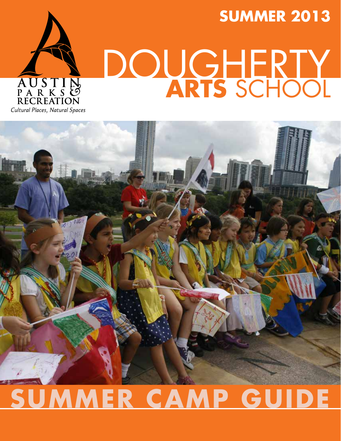# AUSTIN **RECREATION**

### **summer 2013**

# DOUGHERTY **ARTS** school





### **summer camp Guide**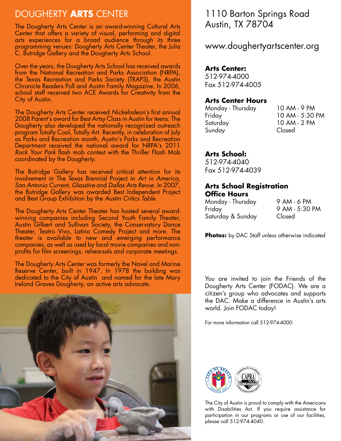#### DOUGHERTY **ARTS** CENTER

The Dougherty Arts Center is an award-winning Cultural Arts Center that offers a variety of visual, performing and digital arts experiences for a broad audience through its three programming venues: Dougherty Arts Center Theater, the Julia C. Butridge Gallery and the Dougherty Arts School.

Over the years, the Dougherty Arts School has received awards from the National Recreation and Parks Association (NRPA), the Texas Recreation and Parks Society (TRAPS), the Austin Chronicle Readers Poll and Austin Family Magazine. In 2006, school staff received two ACE Awards for Creativity from the City of Austin.

The Dougherty Arts Center received *Nickelodeon's* first annual 2008 Parent's award for Best Artsy Class in Austin for teens. The Dougherty also developed the nationally recognized outreach program Totally Cool, Totally Art. Recently, in celebration of July as Parks and Recreation month, Austin's Parks and Recreation Department received the national award for NRPA's 2011 *Rock Your Park* flash mob contest with the Thriller Flash Mob coordinated by the Dougherty.

The Butridge Gallery has received critical attention for its involvement in The Texas Biennial Project in *Art in America*, *San Antonio Current*, *Glasstire* and *Dallas Arts Revue*. In 2007, the Butridge Gallery was awarded Best Independent Project and Best Group Exhibition by the *Austin Critics Table.*

The Dougherty Arts Center Theater has hosted several awardwinning companies including Second Youth Family Theater, Austin Gilbert and Sullivan Society, the Conservatory Dance Theater, Teatro Vivo, Latino Comedy Project and more. The theater is available to new and emerging performance companies, as well as used by local movie companies and nonprofits for film screenings, rehearsals and corporate meetings.

The Dougherty Arts Center was formerly the Navel and Marine Reserve Center, built in 1947. In 1978 the building was dedicated to the City of Austin and named for the late Mary Ireland Graves Dougherty, an active arts advocate.



#### 1110 Barton Springs Road Austin, TX 78704

www.doughertyartscenter.org

#### **Arts Center:**

512-974-4000 Fax 512-974-4005

#### **Arts Center Hours**

| Monday - Thursday | 10 AM - 9 PM    |
|-------------------|-----------------|
| Friday            | 10 AM - 5:30 PM |
| Saturday          | 10 AM - 2 PM    |
| Sunday            | Closed          |
|                   |                 |

#### **Arts School:**

512-974-4040 Fax 512-974-4039

#### **Arts School Registration Office Hours**

| Monday - Thursday | 9 AM - 6 PM    |
|-------------------|----------------|
| Friday            | 9 AM - 5:30 PM |
| Saturday & Sunday | Closed         |

**Photos:** by DAC Staff unless otherwise indicated

You are invited to join the Friends of the Dougherty Arts Center (FODAC). We are a citizen's group who advocates and supports the DAC. Make a difference in Austin's arts world. Join FODAC today!

For more information call 512-974-4000.



The City of Austin is proud to comply with the Americans with Disabilities Act. If you require assistance for participation in our programs or use of our facilities, please call 512-974-4040.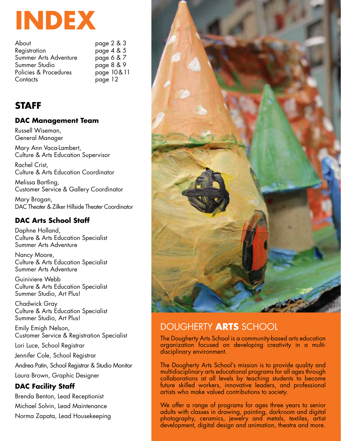

| About                 | page 2 & 3 |
|-----------------------|------------|
| Registration          | page 4 & 5 |
| Summer Arts Adventure | page 6 & 7 |
| Summer Studio         | page 8 & 9 |
| Policies & Procedures | page 10&11 |
| Contacts              | page 12    |

#### **STAFF**

#### **DAC Management Team**

Russell Wiseman, General Manager

Mary Ann Vaca-Lambert, Culture & Arts Education Supervisor

Rachel Crist, Culture & Arts Education Coordinator

Melissa Bartling, Customer Service & Gallery Coordinator

Mary Brogan, DAC Theater & Zilker Hillside Theater Coordinator

#### **DAC Arts School Staff**

Daphne Holland, Culture & Arts Education Specialist Summer Arts Adventure

Nancy Moore, Culture & Arts Education Specialist Summer Arts Adventure

Guiniviere Webb Culture & Arts Education Specialist Summer Studio, Art Plus!

Chadwick Gray Culture & Arts Education Specialist Summer Studio, Art Plus!

Emily Emigh Nelson, Customer Service & Registration Specialist

Lori Luce, School Registrar

Jennifer Cole, School Registrar

Andrea Patin, School Registrar & Studio Monitor Laura Brown, Graphic Designer

#### **DAC Facility Staff**

Brenda Benton, Lead Receptionist

Michael Solvin, Lead Maintenance

Norma Zapata, Lead Housekeeping



#### DOUGHERTY **ARTS** school

The Dougherty Arts School is a community-based arts education organization focused on developing creativity in a multidisciplinary environment.

The Dougherty Arts School's mission is to provide quality and multidisciplinary arts educational programs for all ages through collaborations at all levels by teaching students to become future skilled workers, innovative leaders, and professional artists who make valued contributions to society.

We offer a range of programs for ages three years to senior adults with classes in drawing, painting, darkroom and digital photography, ceramics, jewelry and metals, textiles, artist development, digital design and animation, theatre and more.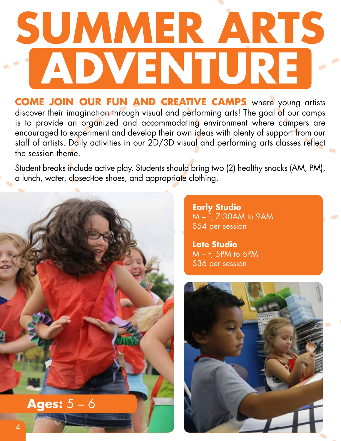## **Summer Arts Adventure**

**Come join our fun and creative camps** where young artists discover their imagination through visual and performing arts! The goal of our camps is to provide an organized and accommodating environment where campers are encouraged to experiment and develop their own ideas with plenty of support from our staff of artists. Daily activities in our 2D/3D visual and performing arts classes reflect the session theme.

Student breaks include active play. Students should bring two (2) healthy snacks (AM, PM), a lunch, water, closed-toe shoes, and appropriate clothing.



**Early Studio** M – F, 7:30AM to 9AM \$54 per session

**Late Studio** M – F, 5PM to 6PM \$36 per session

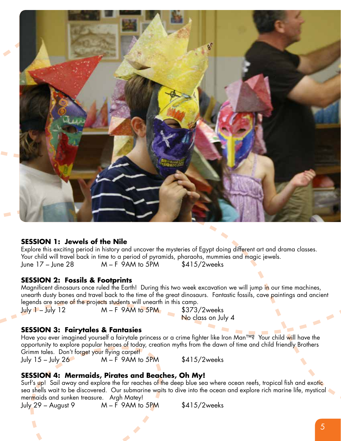

#### **SESSION 1: Jewels of the Nile**

Explore this exciting period in history and uncover the mysteries of Egypt doing different art and drama classes. Your child will travel back in time to a period of pyramids, pharaohs, mummies and magic jewels. June  $17$  – June  $28$  M – F 9AM to 5PM  $$415/2$ weeks

#### **SESSION 2: Fossils & Footprints**

Magnificent dinosaurs once ruled the Earth! During this two week excavation we will jump in our time machines, unearth dusty bones and travel back to the time of the great dinosaurs. Fantastic fossils, cave paintings and ancient legends are some of the projects students will unearth in this camp.

July  $1 -$  July 12  $M - F$  9AM to 5PM  $\frac{1}{2}$  \$373/2weeks

No class on July 4

#### **SESSION 3: Fairytales & Fantasies**

Have you ever imagined yourself a fairytale princess or a crime fighter like Iron Man™? Your child will have the opportunity to explore popular heroes of today, creation myths from the dawn of time and child friendly Brothers Grimm tales. Don't forget your flying carpet! July  $15 -$  July  $26$  M – F 9AM to  $5PM$  \$415/2weeks

#### **SESSION 4: Mermaids, Pirates and Beaches, Oh My!**

Surf's up! Sail away and explore the far reaches of the deep blue sea where ocean reefs, tropical fish and exotic sea shells wait to be discovered. Our submarine waits to dive into the ocean and explore rich marine life, mystical mermaids and sunken treasure. Argh Matey!

July 29 – August 9  $M - F$  9AM to 5PM  $$415/2$ weeks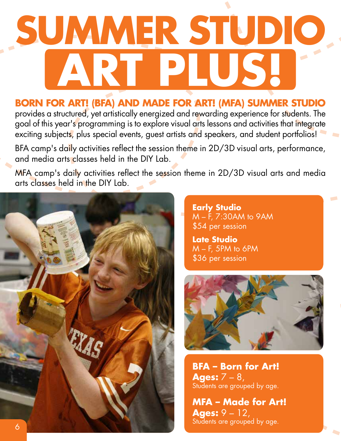## **Summer Studio Art Plus!**

#### **Born For Art! (BFA) and Made For Art! (MFA) Summer Studio**

provides a structured, yet artistically energized and rewarding experience for students. The goal of this year's programming is to explore visual arts lessons and activities that integrate exciting subjects, plus special events, guest artists and speakers, and student portfolios!

BFA camp's daily activities reflect the session theme in 2D/3D visual arts, performance, and media arts classes held in the DIY Lab.

MFA camp's daily activities reflect the session theme in 2D/3D visual arts and media arts classes held in the DIY Lab.



**Early Studio** M – F, 7:30AM to 9AM \$54 per session

**Late Studio** M – F, 5PM to 6PM \$36 per session



**BFA – Born for Art! Ages:** 7 – 8, Students are grouped by age.

**MFA – Made for Art! Ages:** 9 – 12, Students are grouped by age.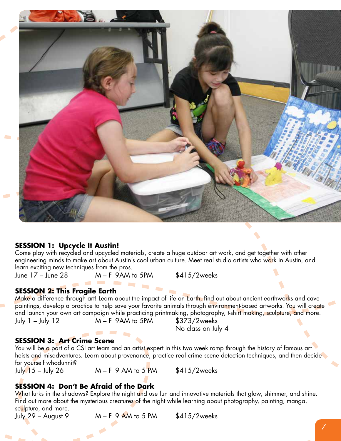

#### **SESSION 1: Upcycle It Austin!**

Come play with recycled and upcycled materials, create a huge outdoor art work, and get together with other engineering minds to make art about Austin's cool urban culture. Meet real studio artists who work in Austin, and learn exciting new techniques from the pros.

June  $17 -$  June  $28$  M – F 9AM to 5PM  $$415/2$ weeks

#### **SESSION 2: This Fragile Earth**

Make a difference through art! Learn about the impact of life on Earth, find out about ancient earthworks and cave paintings, develop a practice to help save your favorite animals through environment-based artworks. You will create and launch your own art campaign while practicing printmaking, photography, t-shirt making, sculpture, and more. July  $1 -$  July  $12$  M – F 9AM to 5PM  $$373/2$ weeks

No class on July 4

#### **SESSION 3: Art Crime Scene**

You will be a part of a CSI art team and an artist expert in this two week romp through the history of famous art heists and misadventures. Learn about provenance, practice real crime scene detection techniques, and then decide for yourself whodunnit?<br>July 15 – July 26

 $M - F$  9 AM to 5 PM  $$415/2$ weeks

#### **SESSION 4: Don't Be Afraid of the Dark**

What lurks in the shadows? Explore the night and use fun and innovative materials that glow, shimmer, and shine. Find out more about the mysterious creatures of the night while learning about photography, painting, manga, sc<mark>ul</mark>pture, and more.<br>July 29 – August 9

 $M - F$  9 AM to 5 PM  $$415/2$ weeks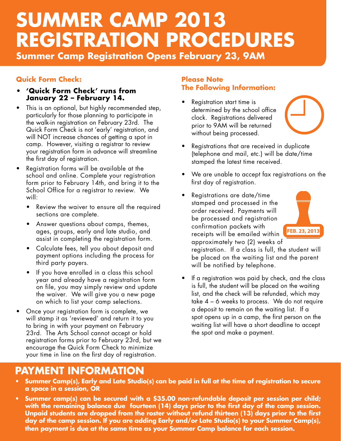### **summer CAMP 2013 Registration PROCEDURES Summer Camp Registration Opens February 23, 9AM**

#### **Quick Form Check:**

- **• 'Quick Form Check' runs from January 22 – February 14.**
- This is an optional, but highly recommended step, particularly for those planning to participate in the walk-in registration on February 23rd. The Quick Form Check is not 'early' registration, and will NOT increase chances of getting a spot in camp. However, visiting a registrar to review your registration form in advance will streamline the first day of registration.
- • Registration forms will be available at the school and online. Complete your registration form prior to February 14th, and bring it to the School Office for a registrar to review. We will:
	- Review the waiver to ensure all the required sections are complete.
	- Answer questions about camps, themes, ages, groups, early and late studio, and assist in completing the registration form.
	- • Calculate fees, tell you about deposit and payment options including the process for third party payers.
	- If you have enrolled in a class this school year and already have a registration form on file, you may simply review and update the waiver. We will give you a new page on which to list your camp selections.
- Once your registration form is complete, we will stamp it as 'reviewed' and return it to you to bring in with your payment on February 23rd. The Arts School cannot accept or hold registration forms prior to February 23rd, but we encourage the Quick Form Check to minimize your time in line on the first day of registration.

#### **Please Note The Following Information:**

- Registration start time is determined by the school office clock. Registrations delivered prior to 9AM will be returned without being processed.
- 
- Registrations that are received in duplicate (telephone and mail, etc.) will be date/time stamped the latest time received.
- • We are unable to accept fax registrations on the first day of registration.
- Registrations are date/time stamped and processed in the order received. Payments will be processed and registration confirmation packets with receipts will be emailed within approximately two (2) weeks of



registration. If a class is full, the student will be placed on the waiting list and the parent will be notified by telephone.

If a registration was paid by check, and the class is full, the student will be placed on the waiting list, and the check will be refunded, which may take 4 – 6 weeks to process. We do not require a deposit to remain on the waiting list. If a spot opens up in a camp, the first person on the waiting list will have a short deadline to accept the spot and make a payment.

#### **Payment information**

- **Summer Camp(s), Early and Late Studio(s) can be paid in full at the time of registration to secure a space in a session, OR**
- **Summer camp(s) can be secured with a \$35.00 non-refundable deposit per session per child; with the remaining balance due fourteen (14) days prior to the first day of the camp session. Unpaid students are dropped from the roster without refund thirteen (13) days prior to the first day of the camp session. If you are adding Early and/or Late Studio(s) to your Summer Camp(s), then payment is due at the same time as your Summer Camp balance for each session.**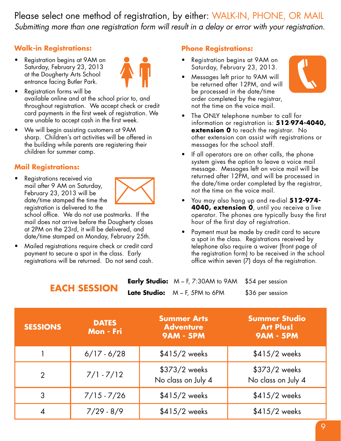Please select one method of registration, by either: WALK-IN, PHONE, OR MAIL *Submitting more than one registration form will result in a delay or error with your registration.*

#### **Walk-in Registrations:**

• Registration begins at 9AM on Saturday, February 23, 2013 at the Dougherty Arts School entrance facing Butler Park.



- Registration forms will be available online and at the school prior to, and throughout registration. We accept check or credit card payments in the first week of registration. We are unable to accept cash in the first week.
- We will begin assisting customers at 9AM sharp. Children's art activities will be offered in the building while parents are registering their children for summer camp.

#### **Mail Registrations:**

Registrations received via mail after 9 AM on Saturday, February 23, 2013 will be date/time stamped the time the registration is delivered to the

school office. We do not use postmarks. If the mail does not arrive before the Dougherty closes at 2PM on the 23rd, it will be delivered, and date/time stamped on Monday, February 25th.

Mailed registrations require check or credit card payment to secure a spot in the class. Early registrations will be returned. Do not send cash.

**LACH SESSION** 

#### **Phone Registrations:**

- Registration begins at 9AM on Saturday, February 23, 2013.
- Messages left prior to 9AM will be returned after 12PM, and will be processed in the date/time order completed by the registrar, not the time on the voice mail.



- The ONLY telephone number to call for information or registration is: **512**-**974-4040, extension 0** to reach the registrar. No other extension can assist with registrations or messages for the school staff.
- If all operators are on other calls, the phone system gives the option to leave a voice mail message. Messages left on voice mail will be returned after 12PM, and will be processed in the date/time order completed by the registrar, not the time on the voice mail.
- You may also hang up and re-dial **512-974-4040, extension 0**, until you receive a live operator. The phones are typically busy the first hour of the first day of registration.
- Payment must be made by credit card to secure a spot in the class. Registrations received by telephone also require a waiver (front page of the registration form) to be received in the school office within seven (7) days of the registration.

| <b>Early Studio:</b> $M - F$ , 7:30AM to 9AM $$54$ per session |                  |
|----------------------------------------------------------------|------------------|
| <b>Late Studio:</b> $M - F$ , 5PM to 6PM                       | \$36 per session |

| <b>SESSIONS</b> | <b>DATES</b><br>Mon - Fri | <b>Summer Arts</b><br><b>Adventure</b><br><b>9AM - 5PM</b> | <b>Summer Studio</b><br><b>Art Plus!</b><br><b>9AM - 5PM</b> |
|-----------------|---------------------------|------------------------------------------------------------|--------------------------------------------------------------|
|                 | $6/17 - 6/28$             | $$415/2$ weeks                                             | $$415/2$ weeks                                               |
| $\overline{2}$  | $7/1 - 7/12$              | \$373/2 weeks<br>No class on July 4                        | \$373/2 weeks<br>No class on July 4                          |
| 3               | $7/15 - 7/26$             | $$415/2$ weeks                                             | $$415/2$ weeks                                               |
| 4               | $7/29 - 8/9$              | $$415/2$ weeks                                             | $$415/2$ weeks                                               |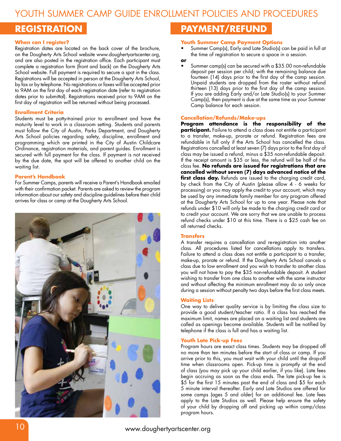Youth Summer Camp Guide Enrollment Policies and Procedures

#### **Registration**

#### **When can I register?**

Registration dates are located on the back cover of the brochure, on the Dougherty Arts School website www.doughertyartscenter.org, and are also posted in the registration office. Each participant must complete a registration form (front and back) on the Dougherty Arts School website. Full payment is required to secure a spot in the class. Registrations will be accepted in person at the Dougherty Arts School, by fax or by telephone. No registrations or faxes will be accepted prior to 9AM on the first day of each registration date (refer to registration dates prior to submittal). Registrations received prior to 9AM on the first day of registration will be returned without being processed.

#### **Enrollment Criteria**

Students must be potty-trained prior to enrollment and have the maturity level to work in a classroom setting. Students and parents must follow the City of Austin, Parks Department, and Dougherty Arts School policies regarding safety, discipline, enrollment and programming which are printed in the City of Austin Childcare Ordinance, registration materials, and parent guides. Enrollment is secured with full payment for the class. If payment is not received by the due date, the spot will be offered to another child on the waiting list.

#### **Parent's Handbook**

For Summer Camps, parents will receive a Parent's Handbook emailed with their confirmation packet. Parents are asked to review the program information about our safety and discipline guidelines before their child arrives for class or camp at the Dougherty Arts School.



#### **Payment/Refund**

#### **Youth Summer Camp Payment Options**

- Summer Camp(s), Early and Late Studio(s) can be paid in full at the time of registration to secure a space in a session.
- **or**
- Summer camp(s) can be secured with a \$35.00 non-refundable deposit per session per child; with the remaining balance due fourteen (14) days prior to the first day of the camp session. Unpaid students are dropped from the roster without refund thirteen (13) days prior to the first day of the camp session. If you are adding Early and/or Late Studio(s) to your Summer Camp(s), then payment is due at the same time as your Summer Camp balance for each session.

#### **Cancellation/Refunds/Make-ups**

**Program attendance is the responsibility of the participant.** Failure to attend a class does not entitle a participant to a transfer, make-up, prorate or refund. Registration fees are refundable in full only if the Arts School has cancelled the class. Registrations cancelled at least seven (7) days prior to the first day of class may be issued a refund, minus a \$35 non-refundable deposit. If the receipt amount is \$35 or less, the refund will be half of the class fee. **No refunds are issued for registrations that are cancelled without seven (7) days advanced notice of the**  first class day. Refunds are issued to the charging credit card, by check from the City of Austin (please allow 4 - 6 weeks for processing) or you may apply the credit to your account, which may be used by any immediate family member for any program offered at the Dougherty Arts School for up to one year. Please note that refunds under \$10 will only be made to the charging credit card or to credit your account. We are sorry that we are unable to process refund checks under \$10 at this time. There is a \$25 cash fee on all returned checks.

#### **Transfers**

A transfer requires a cancellation and re-registration into another class. All procedures listed for cancellations apply to transfers. Failure to attend a class does not entitle a participant to a transfer, make-up, prorate or refund. If the Dougherty Arts School cancels a class due to low enrollment and you wish to transfer to another class you will not have to pay the \$35 non-refundable deposit. A student wishing to transfer from one class to another with the same instructor and without affecting the minimum enrollment may do so only once during a session without penalty two days before the first class meets.

#### **Waiting Lists**

One way to deliver quality service is by limiting the class size to provide a good student/teacher ratio. If a class has reached the maximum limit, names are placed on a waiting list and students are called as openings become available. Students will be notified by telephone if the class is full and has a waiting list.

#### **Youth Late Pick-up Fees**

Program hours are exact class times. Students may be dropped off no more than ten minutes before the start of class or camp. If you arrive prior to this, you must wait with your child until the drop-off time when classrooms open. Pick-up time is promptly at the end of class (you may pick up your child earlier, if you like). Late fees begin accruing as soon as the class ends. The late pick-up fee is \$5 for the first 15 minutes past the end of class and \$5 for each 5 minute interval thereafter. Early and Late Studios are offered for some camps (ages 5 and older) for an additional fee. Late fees apply to the Late Studios as well. Please help ensure the safety of your child by dropping off and picking up within camp/class program hours.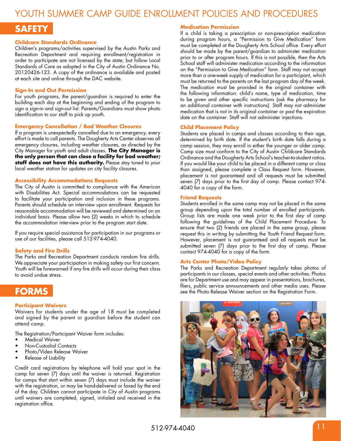#### Youth Summer Camp Guide Enrollment Policies and Procedures

#### **Safety**

#### **Childcare Standards Ordinance**

Children's programs/activities supervised by the Austin Parks and Recreation Department and requiring enrollment/registration in order to participate are not licensed by the state; but follow Local Standards of Care as adopted in the City of Austin Ordinance No. 20120426-123. A copy of the ordinance is available and posted at each site and online through the DAC website.

#### **Sign-In and Out Permission**

For youth programs, the parent/guardian is required to enter the building each day at the beginning and ending of the program to sign a sign-in and sign-out list. Parents/Guardians must show photo identification to our staff to pick up youth.

#### **Emergency Cancellation / Bad Weather Closures**

If a program is unexpectedly cancelled due to an emergency, every effort is made to call parents. The Dougherty Arts Center observes all emergency closures, including weather closures, as directed by the City Manager for youth and adult classes. **The City Manager is the only person that can close a facility for bad weather;**  staff does not have this authority. Please stay tuned to your local weather station for updates on city facility closures.

#### **Accessibility Accommodations Requests**

The City of Austin is committed to compliance with the American with Disabilities Act. Special accommodations can be requested to facilitate your participation and inclusion in these programs. Parents should schedule an interview upon enrollment. Requests for reasonable accommodation will be reviewed and determined on an individual basis. Please allow two (2) weeks in which to schedule the accommodation interview prior to the program start date.

If you require special assistance for participation in our programs or use of our facilities, please call 512-974-4040.

#### **Safety and Fire Drills**

The Parks and Recreation Department conducts random fire drills. We appreciate your participation in making safety our first concern. Youth will be forewarned if any fire drills will occur during their class to avoid undue stress.

#### **Forms**

#### **Participant Waivers**

Waivers for students under the age of 18 must be completed and signed by the parent or guardian before the student can attend camp.

The Registration/Participant Waiver form includes:

- **Medical Waiver**
- **Non-Custodial Contacts**
- Photo/Video Release Waiver
- Release of Liability

Credit card registrations by telephone will hold your spot in the camp for seven (7) days until the waiver is returned. Registration for camps that start within seven (7) days must include the waiver with the registration, or may be hand-delivered or faxed by the end of the day. Children cannot participate in City of Austin programs until waivers are completed, signed, initialed and received in the registration office.

#### **Medication Permission**

If a child is taking a prescription or non-prescription medication during program hours, a "Permission to Give Medication" form must be completed at the Dougherty Arts School office. Every effort should be made by the parent/guardian to administer medication prior to or after program hours. If this is not possible, then the Arts School staff will administer medication according to the information on the "Permission to Give Medication" form. Staff may not accept more than a one-week supply of medication for a participant, which must be returned to the parents on the last program day of the week. The medication must be provided in the original container with the following information: child's name, type of medication, time to be given and other specific instructions (ask the pharmacy for an additional container with instructions). Staff may not administer medication that is not in its original container or past the expiration date on the container. Staff will not administer injections.

#### **Child Placement Policy**

Students are placed in camps and classes according to their age, determined by birth date. If the student's birth date falls during a camp session, they may enroll in either the younger or older camp. Camp size must conform to the City of Austin Childcare Standards Ordinance and the Dougherty Arts School's teacher-to-student ratios. If you would like your child to be placed in a different camp or class than assigned, please complete a Class Request form. However, placement is not guaranteed and all requests must be submitted seven (7) days prior to the first day of camp. Please contact 974- 4040 for a copy of the form.

#### **Friend Requests**

Students enrolled in the same camp may not be placed in the same group depending upon the total number of enrolled participants. Group lists are made one week prior to the first day of camp following the guidelines of the Child Placement Procedure. To ensure that two (2) friends are placed in the same group, please request this in writing by submitting the Youth Friend Request form. However, placement is not guaranteed and all requests must be submitted seven (7) days prior to the first day of camp. Please contact 974-4040 for a copy of the form.

#### **Arts Center Photo/Video Policy**

The Parks and Recreation Department regularly takes photos of participants in our classes, special events and other activities. Photos are for Department use and may appear in presentations, brochures, fliers, public service announcements and other media uses. Please see the Photo Release Waiver section on the Registration Form.